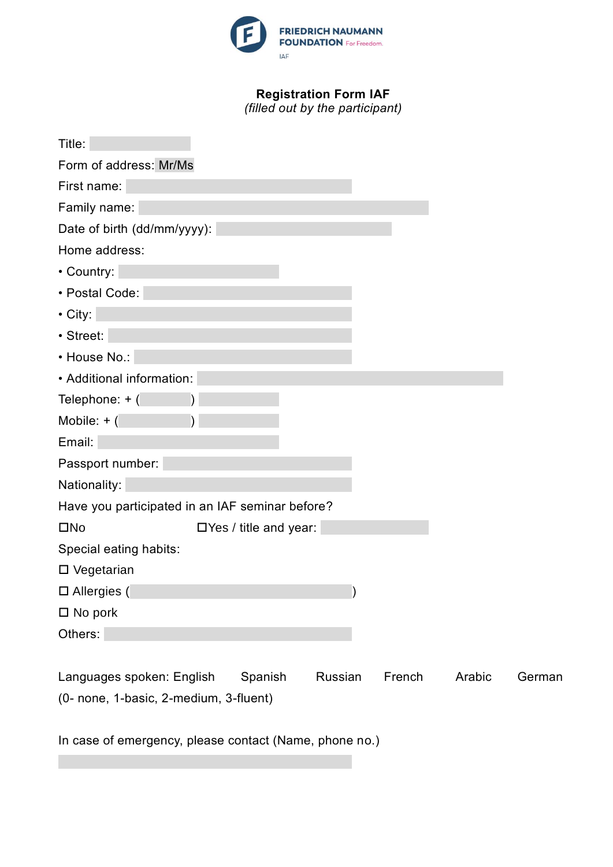

## **Registration Form IAF**

*(filled out by the participant)*

| Title:                                                                        |  |  |  |
|-------------------------------------------------------------------------------|--|--|--|
| Form of address: Mr/Ms                                                        |  |  |  |
| First name:                                                                   |  |  |  |
| Family name:                                                                  |  |  |  |
| Date of birth (dd/mm/yyyy):                                                   |  |  |  |
| Home address:                                                                 |  |  |  |
| • Country:                                                                    |  |  |  |
| • Postal Code:                                                                |  |  |  |
| $\cdot$ City:                                                                 |  |  |  |
| · Street:                                                                     |  |  |  |
| • House No.:                                                                  |  |  |  |
| • Additional information:                                                     |  |  |  |
| Telephone: + (                                                                |  |  |  |
| Mobile: $+$ (                                                                 |  |  |  |
| Email:                                                                        |  |  |  |
| Passport number:                                                              |  |  |  |
| Nationality:                                                                  |  |  |  |
| Have you participated in an IAF seminar before?                               |  |  |  |
| $\square$ No<br>$\Box$ Yes / title and year:                                  |  |  |  |
| Special eating habits:                                                        |  |  |  |
| □ Vegetarian                                                                  |  |  |  |
| $\square$ Allergies (                                                         |  |  |  |
| $\square$ No pork                                                             |  |  |  |
| Others:                                                                       |  |  |  |
|                                                                               |  |  |  |
| Spanish<br>Russian<br>French<br>Languages spoken: English<br>Arabic<br>German |  |  |  |
| (0- none, 1-basic, 2-medium, 3-fluent)                                        |  |  |  |

In case of emergency, please contact (Name, phone no.)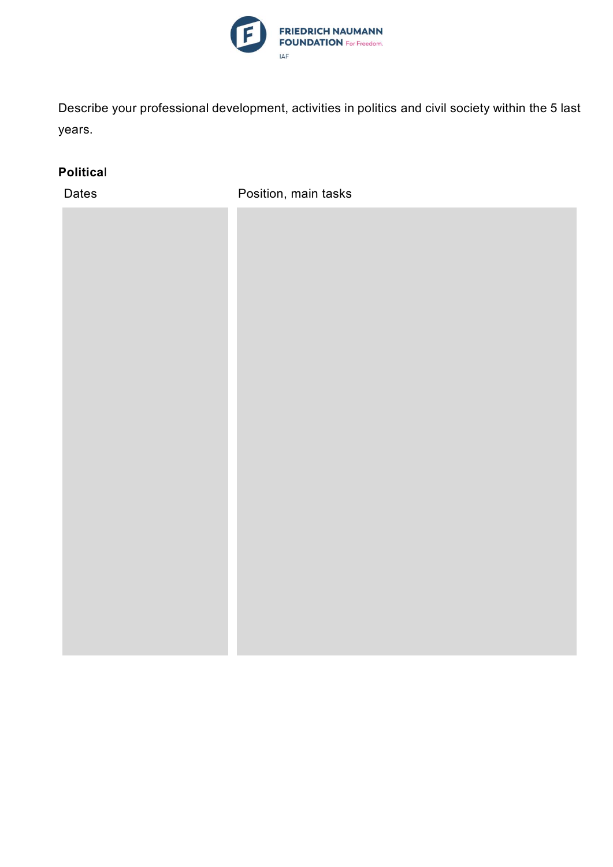

Describe your professional development, activities in politics and civil society within the 5 last years.

## **Politica**l

Dates **Position**, main tasks

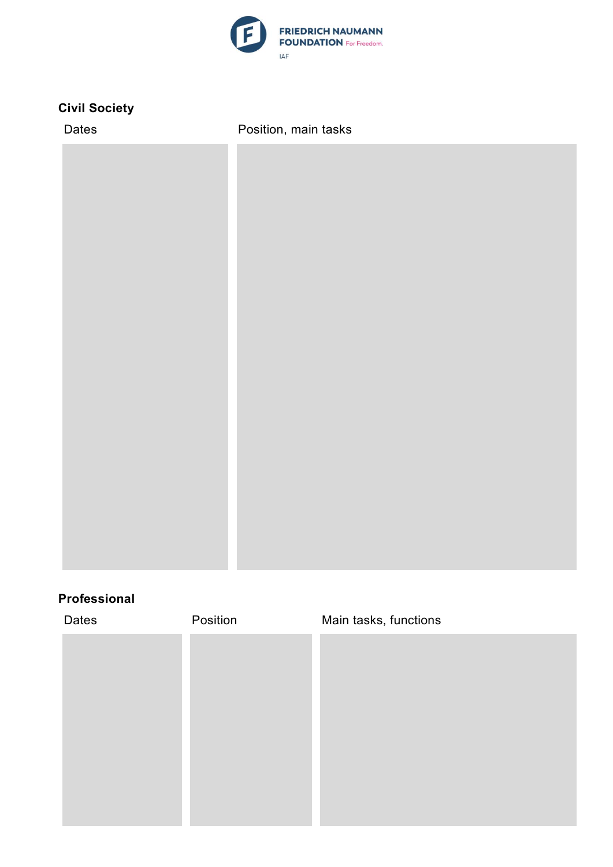

## **Civil Society**

| Dates | Position, main tasks |
|-------|----------------------|
|       |                      |
|       |                      |
|       |                      |
|       |                      |
|       |                      |
|       |                      |
|       |                      |
|       |                      |
|       |                      |
|       |                      |
|       |                      |
|       |                      |
|       |                      |
|       |                      |
|       |                      |
|       |                      |
|       |                      |

## **Professional**

| Position | Main tasks, functions |
|----------|-----------------------|
|          |                       |
|          |                       |
|          |                       |
|          |                       |
|          |                       |
|          |                       |
|          |                       |
|          |                       |
|          |                       |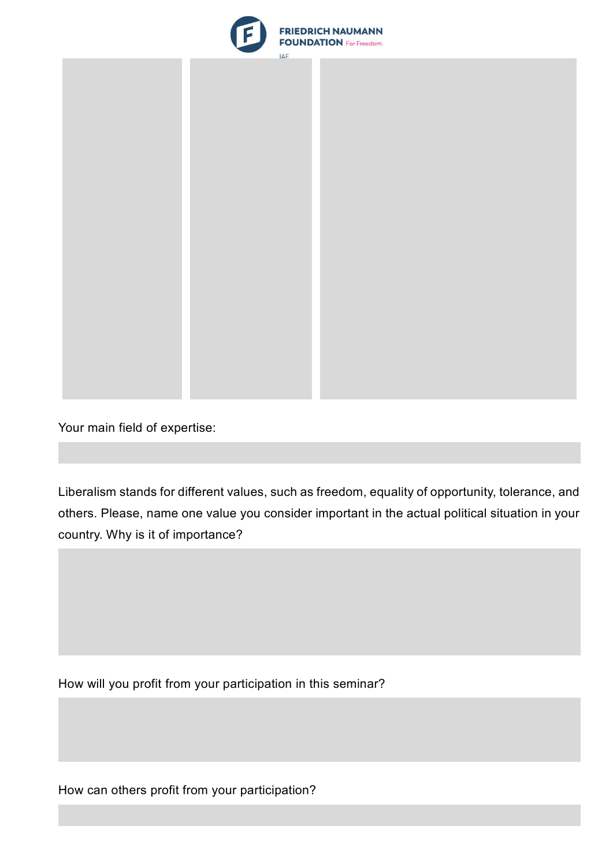



Your main field of expertise:

Liberalism stands for different values, such as freedom, equality of opportunity, tolerance, and others. Please, name one value you consider important in the actual political situation in your country. Why is it of importance?

How will you profit from your participation in this seminar?

How can others profit from your participation?